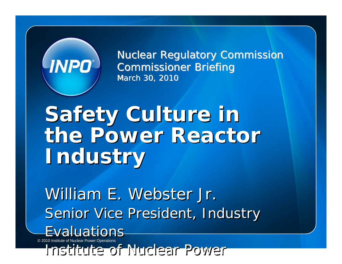# **INPO**

**Nuclear Regulatory Commission Commissioner Briefing** March 30, 2010

## **Safety Culture in Safety Culture in the Power Reactor the Power Reactor Industry Industry**

William E. Webster Jr. William E. Webster Jr. Senior Vice President, Industry Senior Vice President, Industry Evaluations

© 2010 Institute of Nuclear Power Operations

 $In a++...+a$  of  $N!$   $In a++$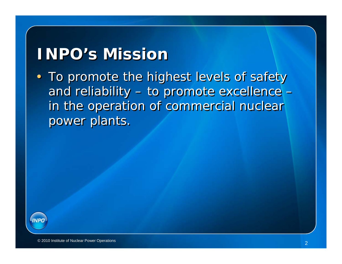#### **INPO's Mission INPO's Mission**

• To promote the highest levels of safety • To promote the highest levels of safety and reliability – to promote excellence – and reliability – to promote excellence – in the operation of commercial nuclear in the operation of commercial nuclear power plants. power plants.

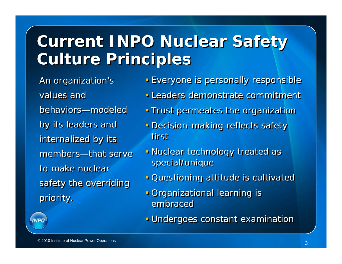## **Current INPO Nuclear Safety Current INPO Nuclear Safety Culture Principles Culture Principles**

An organization's An organization's values and behaviors—modeled by its leaders and by its leaders and internalized by its internalized by its members—that serve to make nuclear safety the overriding safety the overriding priority. priority.

- Everyone is personally responsible Everyone is personally responsible
- Leaders demonstrate commitment
- Trust permeates the organization Trust permeates the organization
- Decision-making reflects safety Decision-making reflects safety first f
- Nuclear technology treated as Nuclear technology treated as special/unique special/unique
- Questioning attitude is cultivated Questioning attitude is cultivated
- Organizational learning is Organizational learning is embraced
- Undergoes constant examination Undergoes constant examination

**INPO**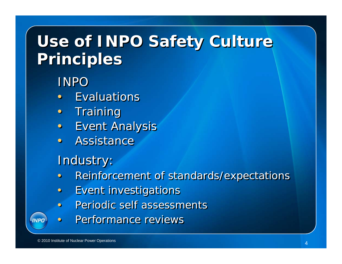## **Use of INPO Safety Culture Use of INPO Safety Culture Principles Principles**

#### INPO

- Evaluations
- Training Training
- Event Analysis Event Analysis
- Assistance

#### Industry: Industry:

- Reinforcement of standards/expectations Reinforcement of standards/expectations
- Event investigations Event investigations
- Periodic self assessments Periodic self assessments
- Performance reviews

**INPO**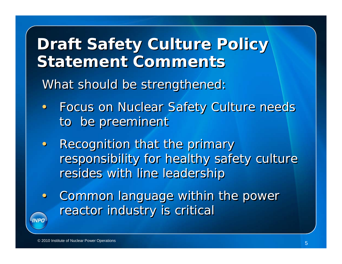**Draft Safety Culture Policy Draft Safety Culture Policy Statement Comments** 

What should be strengthened: What should be strengthened:

- Focus on Nuclear Safety Culture needs Focus on Nuclear Safety Culture needs to be preeminent to be preeminent
- Recognition that the primary Recognition that the primary responsibility for healthy safety culture responsibility for healthy safety culture resides with line leadership resides with line leadership
- Common language within the power Common language within the power reactor industry is critical reactor industry is critical **INPO**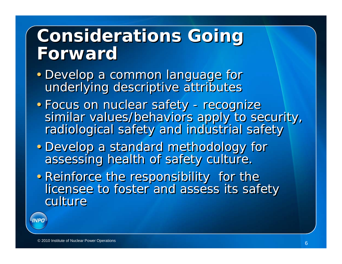## **Considerations Going Considerations Going ForwardForward**

- Develop a common language for Develop a common language for underlying descriptive attributes underlying descriptive attributes
- Focus on nuclear safety recognize Focus on nuclear safety recognize similar values/behaviors apply to security, similar values/behaviors apply to security, radiological safety and industrial safety radiological safety and industrial safety
- Develop a standard methodology for Develop a standard methodology for assessing health of safety culture. assessing health of safety culture.
- Reinforce the responsibility for the Reinforce the responsibility for the licensee to foster and assess its safety licensee to foster and assess its safety culture